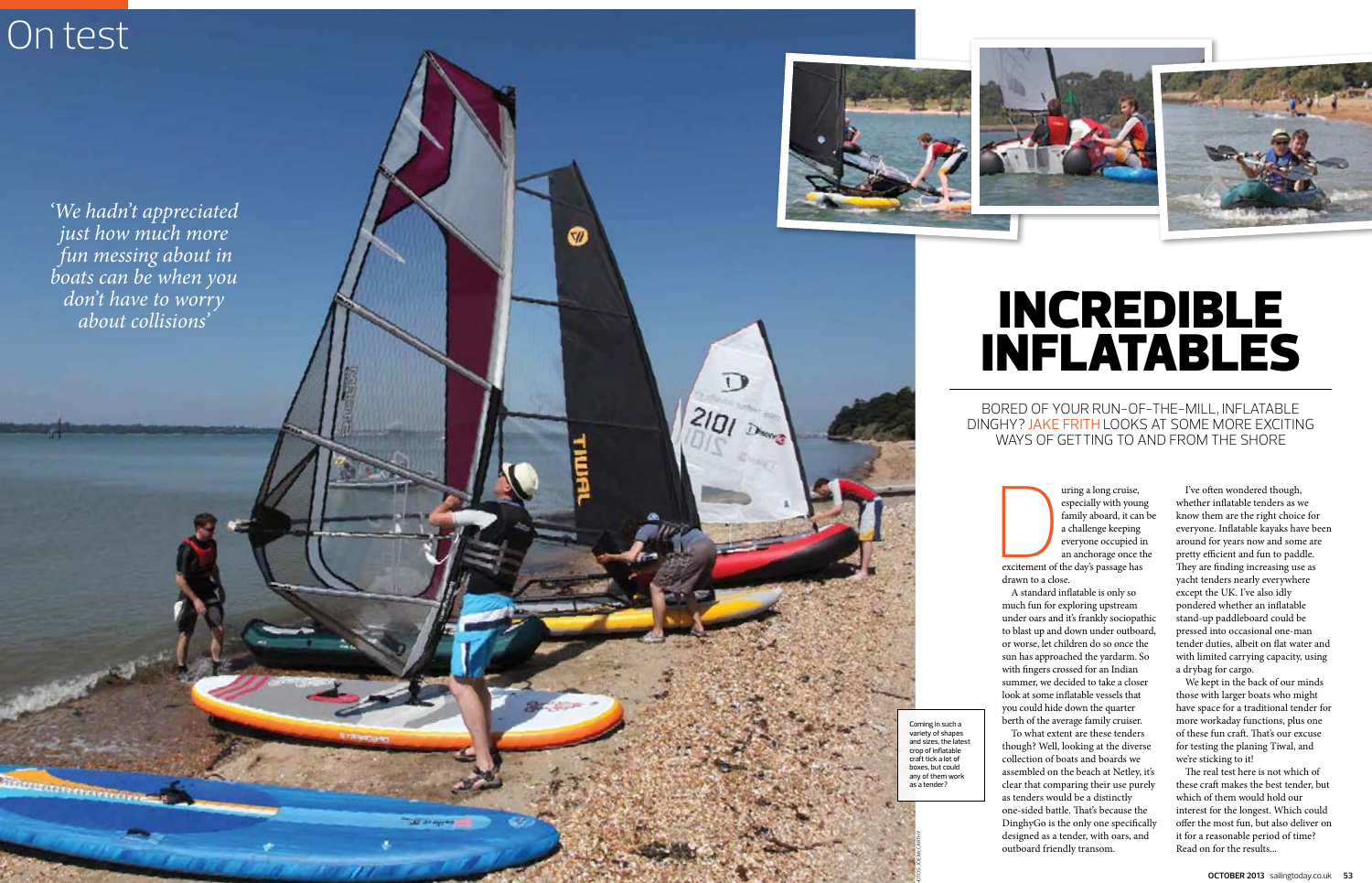# On test

Ativoramente del

# INCREDIBLE INFLATABLES

BORED OF YOUR RUN-OF-THE-MILL, INFLATABLE DINGHY? JAKE FRITH LOOKS AT SOME MORE EXCITING WAYS OF GETTING TO AND FROM THE SHORE



uring a long cruise, especially with young family aboard, it can be a challenge keeping everyone occupied in an anchorage once the excitement of the day's passage has

drawn to a close. A standard inflatable is only so much fun for exploring upstream under oars and it's frankly sociopathic to blast up and down under outboard, or worse, let children do so once the sun has approached the yardarm. So with fingers crossed for an Indian summer, we decided to take a closer look at some inflatable vessels that you could hide down the quarter berth of the average family cruiser. To what extent are these tenders though? Well, looking at the diverse collection of boats and boards we assembled on the beach at Netley, it's clear that comparing their use purely as tenders would be a distinctly one-sided battle. That's because the DinghyGo is the only one specifically designed as a tender, with oars, and outboard friendly transom.

I've often wondered though, whether inflatable tenders as we know them are the right choice for everyone. Inflatable kayaks have been around for years now and some are pretty efficient and fun to paddle. They are finding increasing use as yacht tenders nearly everywhere except the UK. I've also idly pondered whether an inflatable stand-up paddleboard could be pressed into occasional one-man tender duties, albeit on flat water and with limited carrying capacity, using a drybag for cargo.

We kept in the back of our minds those with larger boats who might have space for a traditional tender for more workaday functions, plus one of these fun craft. That's our excuse for testing the planing Tiwal, and we're sticking to it!

The real test here is not which of these craft makes the best tender, but which of them would hold our interest for the longest. Which could offer the most fun, but also deliver on it for a reasonable period of time? Read on for the results...

Coming in such a variety of shapes and sizes, the latest crop of inflatable craft tick a lot of boxes, but could any of them work as a tender?

'We hadn't appreciated just how much more fun messing about in boats can be when you don't have to worry about collisions'



M

**CEE OF AN** 

 $\overline{1}$ 

 $2|D|$ 

PHOTOS: JOE McCARTHY